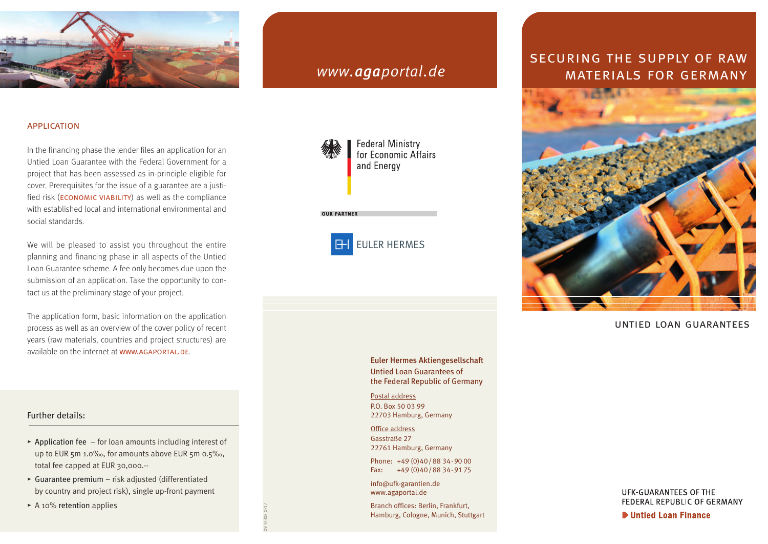

#### **APPLICATION**

In the financing phase the lender files an application for an Untied Loan Guarantee with the Federal Government for a project that has been assessed as in-principle eligible for cover. Prerequisites for the issue of a guarantee are a justified risk (**ECONOMIC VIABILITY**) as well as the compliance with established local and international environmental and social standards.

We will be pleased to assist you throughout the entire planning and financing phase in all aspects of the Untied Loan Guarantee scheme. A fee only becomes due upon the submission of an application. Take the opportunity to contact us at the preliminary stage of your project.

The application form, basic information on the application process as well as an overview of the cover policy of recent years (raw materials, countries and project structures) are available on the internet at www.AGAPORTAL.DE.

# Further details:

- **@** Application fee for loan amounts including interest of up to EUR 5m 1.0‰, for amounts above EUR 5m 0.5‰, total fee capped at EUR 30,000.--
- **@** Guarantee premium risk adjusted (differentiated by country and project risk), single up-front payment
- ▶ A 10% retention applies





# Euler Hermes Aktiengesellschaft

Untied Loan Guarantees of the Federal Republic of Germany

Postal address P.O. Box 50 03 99 22703 Hamburg, Germany

Office address Gasstraße 27 22761 Hamburg, Germany

Phone: +49 (0)40/88 34-90 00 Fax: +49 (0)40/88 34-91 75

info@ufk-garantien.de www.agaportal.de

09 1430e 0717

Branch offices: Berlin, Frankfurt, Hamburg, Cologne, Munich, Stuttgart

# securing the supply of raw *www.agaportal.de* MATERIALS FOR GERMANY



## untied loan guarantees

UFK-GUARANTEES OF THE FEDERAL REPUBLIC OF GERMANY

ID Untied Loan Finance